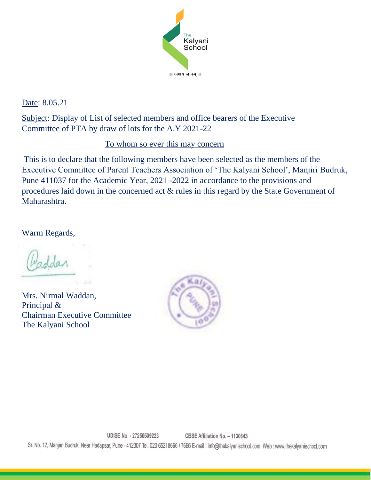

Date: 8.05.21

Subject: Display of List of selected members and office bearers of the Executive Committee of PTA by draw of lots for the A.Y 2021-22

## To whom so ever this may concern

This is to declare that the following members have been selected as the members of the Executive Committee of Parent Teachers Association of 'The Kalyani School', Manjiri Budruk, Pune 411037 for the Academic Year, 2021 -2022 in accordance to the provisions and procedures laid down in the concerned act & rules in this regard by the State Government of Maharashtra.

Warm Regards,

Nu.

Mrs. Nirmal Waddan, Principal & Chairman Executive Committee The Kalyani School